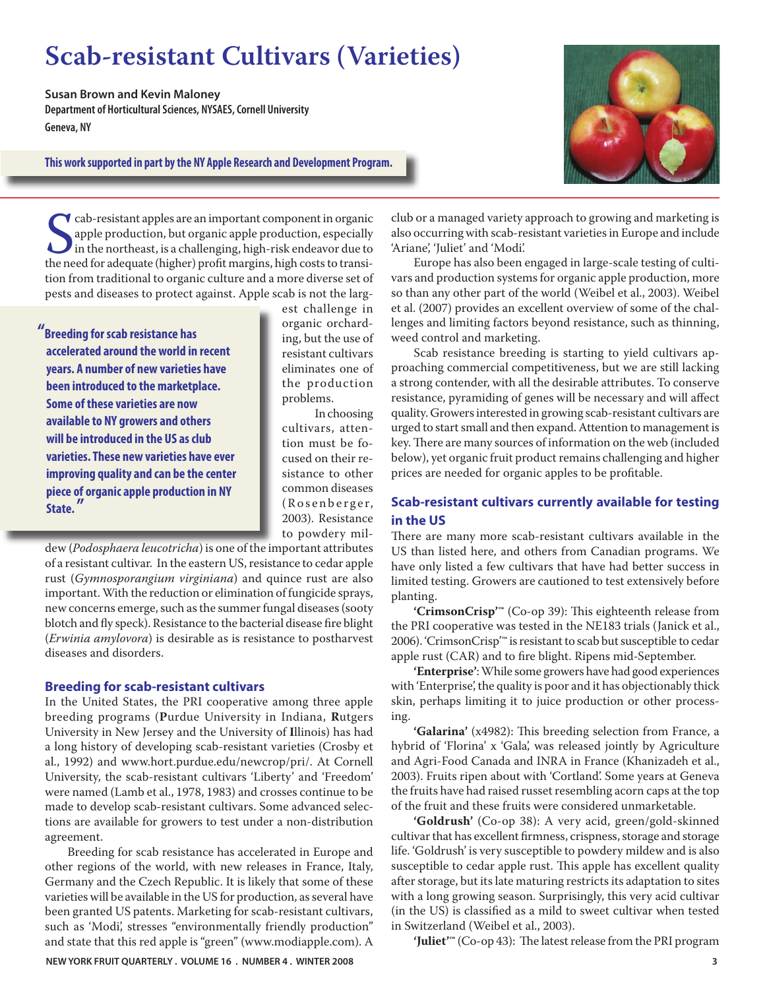# **Scab-resistant Cultivars (Varieties)**

**Susan Brown and Kevin Maloney Department of Horticultural Sciences, NYSAES, Cornell University Geneva, NY**

**This work supported in part by the NY Apple Research and Development Program.**



Cab-resistant apples are an important component in organic apple production, but organic apple production, especially in the northeast, is a challenging, high-risk endeavor due to the need for adequate (higher) profit marg cab-resistant apples are an important component in organic apple production, but organic apple production, especially in the northeast, is a challenging, high-risk endeavor due to tion from traditional to organic culture and a more diverse set of pests and diseases to protect against. Apple scab is not the larg-

**"Breeding for scab resistance has accelerated around the world in recent years. A number of new varieties have been introduced to the marketplace. Some of these varieties are now available to NY growers and others will be introduced in the US as club varieties. These new varieties have ever improving quality and can be the center piece of organic apple production in NY State. "**

est challenge in organic orcharding, but the use of resistant cultivars eliminates one of the production problems.

 In choosing cultivars, attention must be focused on their resistance to other common diseases (Rosenberger, 2003). Resistance to powdery mil-

dew (*Podosphaera leucotricha*) is one of the important attributes of a resistant cultivar. In the eastern US, resistance to cedar apple rust (*Gymnosporangium virginiana*) and quince rust are also important. With the reduction or elimination of fungicide sprays, new concerns emerge, such as the summer fungal diseases (sooty blotch and fly speck). Resistance to the bacterial disease fire blight (*Erwinia amylovora*) is desirable as is resistance to postharvest diseases and disorders.

#### **Breeding for scab-resistant cultivars**

In the United States, the PRI cooperative among three apple breeding programs (**P**urdue University in Indiana, **R**utgers University in New Jersey and the University of **I**llinois) has had a long history of developing scab-resistant varieties (Crosby et al., 1992) and www.hort.purdue.edu/newcrop/pri/. At Cornell University, the scab-resistant cultivars 'Liberty' and 'Freedom' were named (Lamb et al., 1978, 1983) and crosses continue to be made to develop scab-resistant cultivars. Some advanced selections are available for growers to test under a non-distribution agreement.

 Breeding for scab resistance has accelerated in Europe and other regions of the world, with new releases in France, Italy, Germany and the Czech Republic. It is likely that some of these varieties will be available in the US for production, as several have been granted US patents. Marketing for scab-resistant cultivars, such as 'Modi', stresses "environmentally friendly production" and state that this red apple is "green" (www.modiapple.com). A

**NEW YORK FRUIT QUARTERLY . VOLUME 16 . NUMBER 4 . WINTER 2008 3**

club or a managed variety approach to growing and marketing is also occurring with scab-resistant varieties in Europe and include 'Ariane', 'Juliet' and 'Modi'.

 Europe has also been engaged in large-scale testing of cultivars and production systems for organic apple production, more so than any other part of the world (Weibel et al., 2003). Weibel et al. (2007) provides an excellent overview of some of the challenges and limiting factors beyond resistance, such as thinning, weed control and marketing.

 Scab resistance breeding is starting to yield cultivars approaching commercial competitiveness, but we are still lacking a strong contender, with all the desirable attributes. To conserve resistance, pyramiding of genes will be necessary and will affect quality. Growers interested in growing scab-resistant cultivars are urged to start small and then expand. Attention to management is key. There are many sources of information on the web (included below), yet organic fruit product remains challenging and higher prices are needed for organic apples to be profitable.

# **Scab-resistant cultivars currently available for testing in the US**

There are many more scab-resistant cultivars available in the US than listed here, and others from Canadian programs. We have only listed a few cultivars that have had better success in limited testing. Growers are cautioned to test extensively before planting.

'CrimsonCrisp<sup>1™</sup> (Co-op 39): This eighteenth release from the PRI cooperative was tested in the NE183 trials (Janick et al., 2006). 'CrimsonCrisp'™ is resistant to scab but susceptible to cedar apple rust (CAR) and to fire blight. Ripens mid-September.

 **'Enterprise'**: While some growers have had good experiences with 'Enterprise', the quality is poor and it has objectionably thick skin, perhaps limiting it to juice production or other processing.

'Galarina' (x4982): This breeding selection from France, a hybrid of 'Florina' x 'Gala', was released jointly by Agriculture and Agri-Food Canada and INRA in France (Khanizadeh et al., 2003). Fruits ripen about with 'Cortland'. Some years at Geneva the fruits have had raised russet resembling acorn caps at the top of the fruit and these fruits were considered unmarketable.

 **'Goldrush'** (Co-op 38): A very acid, green/gold-skinned cultivar that has excellent firmness, crispness, storage and storage life. 'Goldrush' is very susceptible to powdery mildew and is also susceptible to cedar apple rust. This apple has excellent quality after storage, but its late maturing restricts its adaptation to sites with a long growing season. Surprisingly, this very acid cultivar (in the US) is classified as a mild to sweet cultivar when tested in Switzerland (Weibel et al., 2003).

'Juliet<sup>™</sup> (Co-op 43): The latest release from the PRI program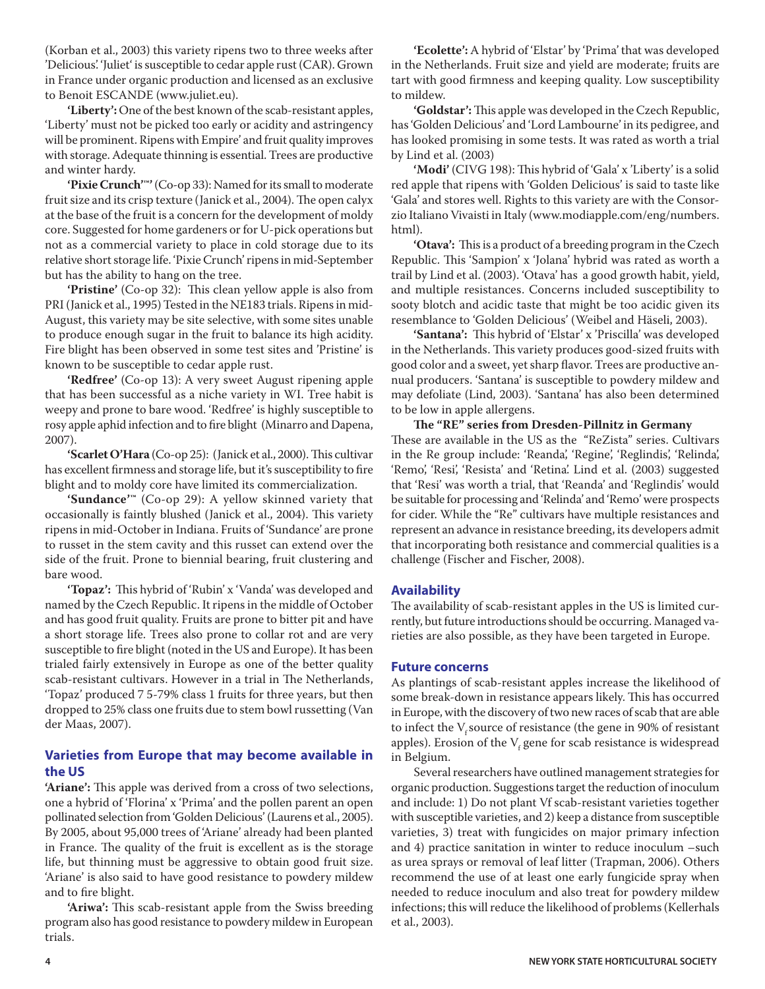(Korban et al., 2003) this variety ripens two to three weeks after 'Delicious'. 'Juliet' is susceptible to cedar apple rust (CAR). Grown in France under organic production and licensed as an exclusive to Benoit ESCANDE (www.juliet.eu).

 **'Liberty':** One of the best known of the scab-resistant apples, 'Liberty' must not be picked too early or acidity and astringency will be prominent. Ripens with Empire' and fruit quality improves with storage. Adequate thinning is essential. Trees are productive and winter hardy.

 **'Pixie Crunch'™'** (Co-op 33): Named for its small to moderate fruit size and its crisp texture (Janick et al., 2004). The open calyx at the base of the fruit is a concern for the development of moldy core. Suggested for home gardeners or for U-pick operations but not as a commercial variety to place in cold storage due to its relative short storage life. 'Pixie Crunch' ripens in mid-September but has the ability to hang on the tree.

'Pristine' (Co-op 32): This clean yellow apple is also from PRI (Janick et al., 1995) Tested in the NE183 trials. Ripens in mid-August, this variety may be site selective, with some sites unable to produce enough sugar in the fruit to balance its high acidity. Fire blight has been observed in some test sites and 'Pristine' is known to be susceptible to cedar apple rust.

 **'Redfree'** (Co-op 13): A very sweet August ripening apple that has been successful as a niche variety in WI. Tree habit is weepy and prone to bare wood. 'Redfree' is highly susceptible to rosy apple aphid infection and to fire blight (Minarro and Dapena, 2007).

**'Scarlet O'Hara** (Co-op 25): (Janick et al., 2000). This cultivar has excellent firmness and storage life, but it's susceptibility to fire blight and to moldy core have limited its commercialization.

 **'Sundance'™** (Co-op 29): A yellow skinned variety that occasionally is faintly blushed (Janick et al., 2004). This variety ripens in mid-October in Indiana. Fruits of 'Sundance' are prone to russet in the stem cavity and this russet can extend over the side of the fruit. Prone to biennial bearing, fruit clustering and bare wood.

'Topaz': This hybrid of 'Rubin' x 'Vanda' was developed and named by the Czech Republic. It ripens in the middle of October and has good fruit quality. Fruits are prone to bitter pit and have a short storage life. Trees also prone to collar rot and are very susceptible to fire blight (noted in the US and Europe). It has been trialed fairly extensively in Europe as one of the better quality scab-resistant cultivars. However in a trial in The Netherlands, 'Topaz' produced 7 5-79% class 1 fruits for three years, but then dropped to 25% class one fruits due to stem bowl russetting (Van der Maas, 2007).

# **Varieties from Europe that may become available in the US**

**'Ariane':** This apple was derived from a cross of two selections, one a hybrid of 'Florina' x 'Prima' and the pollen parent an open pollinated selection from 'Golden Delicious' (Laurens et al., 2005). By 2005, about 95,000 trees of 'Ariane' already had been planted in France. The quality of the fruit is excellent as is the storage life, but thinning must be aggressive to obtain good fruit size. 'Ariane' is also said to have good resistance to powdery mildew and to fire blight.

'Ariwa': This scab-resistant apple from the Swiss breeding program also has good resistance to powdery mildew in European trials.

 **'Ecolette':** A hybrid of 'Elstar' by 'Prima' that was developed in the Netherlands. Fruit size and yield are moderate; fruits are tart with good firmness and keeping quality. Low susceptibility to mildew.

'Goldstar': This apple was developed in the Czech Republic, has 'Golden Delicious' and 'Lord Lambourne' in its pedigree, and has looked promising in some tests. It was rated as worth a trial by Lind et al. (2003)

'Modi' (CIVG 198): This hybrid of 'Gala' x 'Liberty' is a solid red apple that ripens with 'Golden Delicious' is said to taste like 'Gala' and stores well. Rights to this variety are with the Consorzio Italiano Vivaisti in Italy (www.modiapple.com/eng/numbers. html).

'Otava': This is a product of a breeding program in the Czech Republic. This 'Sampion' x 'Jolana' hybrid was rated as worth a trail by Lind et al. (2003). 'Otava' has a good growth habit, yield, and multiple resistances. Concerns included susceptibility to sooty blotch and acidic taste that might be too acidic given its resemblance to 'Golden Delicious' (Weibel and Häseli, 2003).

'Santana': This hybrid of 'Elstar' x 'Priscilla' was developed in the Netherlands. This variety produces good-sized fruits with good color and a sweet, yet sharp flavor. Trees are productive annual producers. 'Santana' is susceptible to powdery mildew and may defoliate (Lind, 2003). 'Santana' has also been determined to be low in apple allergens.

The "RE" series from Dresden-Pillnitz in Germany These are available in the US as the "ReZista" series. Cultivars in the Re group include: 'Reanda', 'Regine', 'Reglindis', 'Relinda', 'Remo', 'Resi', 'Resista' and 'Retina'. Lind et al. (2003) suggested that 'Resi' was worth a trial, that 'Reanda' and 'Reglindis' would be suitable for processing and 'Relinda' and 'Remo' were prospects for cider. While the "Re" cultivars have multiple resistances and represent an advance in resistance breeding, its developers admit that incorporating both resistance and commercial qualities is a challenge (Fischer and Fischer, 2008).

## **Availability**

The availability of scab-resistant apples in the US is limited currently, but future introductions should be occurring. Managed varieties are also possible, as they have been targeted in Europe.

## **Future concerns**

As plantings of scab-resistant apples increase the likelihood of some break-down in resistance appears likely. This has occurred in Europe, with the discovery of two new races of scab that are able to infect the  $V_s$ source of resistance (the gene in 90% of resistant apples). Erosion of the  $\rm V_f$  gene for scab resistance is widespread in Belgium.

 Several researchers have outlined management strategies for organic production. Suggestions target the reduction of inoculum and include: 1) Do not plant Vf scab-resistant varieties together with susceptible varieties, and 2) keep a distance from susceptible varieties, 3) treat with fungicides on major primary infection and 4) practice sanitation in winter to reduce inoculum –such as urea sprays or removal of leaf litter (Trapman, 2006). Others recommend the use of at least one early fungicide spray when needed to reduce inoculum and also treat for powdery mildew infections; this will reduce the likelihood of problems (Kellerhals et al., 2003).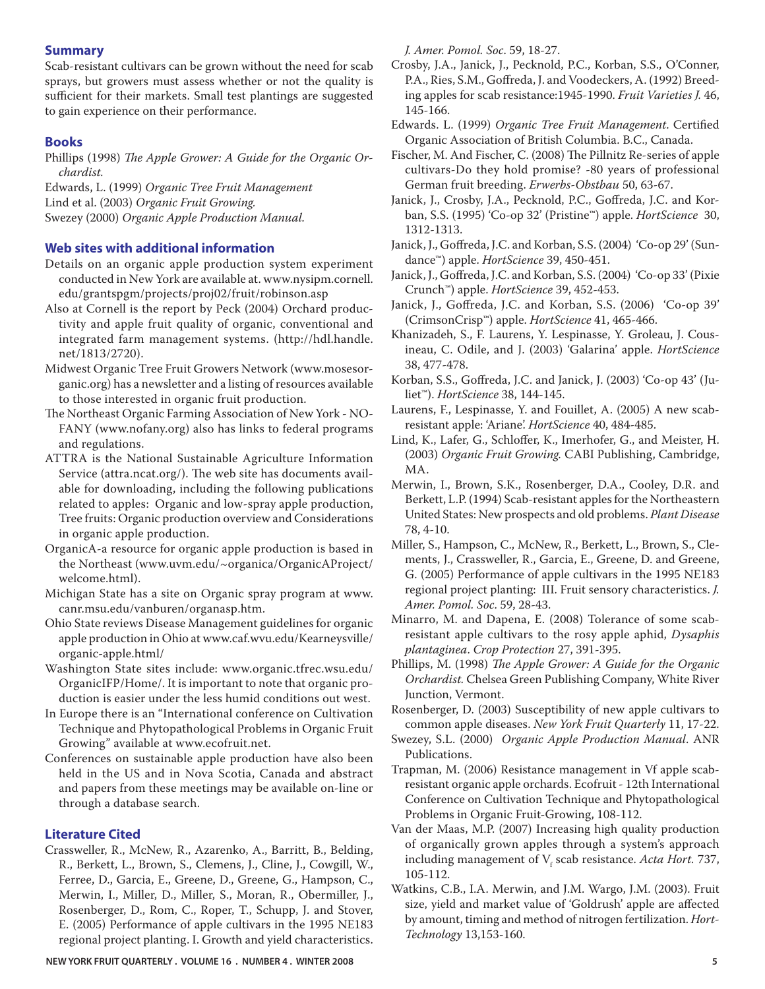### **Summary**

Scab-resistant cultivars can be grown without the need for scab sprays, but growers must assess whether or not the quality is sufficient for their markets. Small test plantings are suggested to gain experience on their performance.

#### **Books**

Phillips (1998) *The Apple Grower: A Guide for the Organic Orchardist.*

Edwards, L. (1999) *Organic Tree Fruit Management* Lind et al. (2003) *Organic Fruit Growing.*  Swezey (2000) *Organic Apple Production Manual.*

## **Web sites with additional information**

- Details on an organic apple production system experiment conducted in New York are available at. www.nysipm.cornell. edu/grantspgm/projects/proj02/fruit/robinson.asp
- Also at Cornell is the report by Peck (2004) Orchard productivity and apple fruit quality of organic, conventional and integrated farm management systems. (http://hdl.handle. net/1813/2720).
- Midwest Organic Tree Fruit Growers Network (www.mosesorganic.org) has a newsletter and a listing of resources available to those interested in organic fruit production.
- The Northeast Organic Farming Association of New York NO-FANY (www.nofany.org) also has links to federal programs and regulations.
- ATTRA is the National Sustainable Agriculture Information Service (attra.ncat.org/). The web site has documents available for downloading, including the following publications related to apples: Organic and low-spray apple production, Tree fruits: Organic production overview and Considerations in organic apple production.
- OrganicA-a resource for organic apple production is based in the Northeast (www.uvm.edu/~organica/OrganicAProject/ welcome.html).
- Michigan State has a site on Organic spray program at www. canr.msu.edu/vanburen/organasp.htm.
- Ohio State reviews Disease Management guidelines for organic apple production in Ohio at www.caf.wvu.edu/Kearneysville/ organic-apple.html/
- Washington State sites include: www.organic.tfrec.wsu.edu/ OrganicIFP/Home/. It is important to note that organic production is easier under the less humid conditions out west.
- In Europe there is an "International conference on Cultivation Technique and Phytopathological Problems in Organic Fruit Growing" available at www.ecofruit.net.
- Conferences on sustainable apple production have also been held in the US and in Nova Scotia, Canada and abstract and papers from these meetings may be available on-line or through a database search.

### **Literature Cited**

Crassweller, R., McNew, R., Azarenko, A., Barritt, B., Belding, R., Berkett, L., Brown, S., Clemens, J., Cline, J., Cowgill, W., Ferree, D., Garcia, E., Greene, D., Greene, G., Hampson, C., Merwin, I., Miller, D., Miller, S., Moran, R., Obermiller, J., Rosenberger, D., Rom, C., Roper, T., Schupp, J. and Stover, E. (2005) Performance of apple cultivars in the 1995 NE183 regional project planting. I. Growth and yield characteristics.

**NEW YORK FRUIT QUARTERLY . VOLUME 16 . NUMBER 4 . WINTER 2008 5**

*J. Amer. Pomol. Soc*. 59, 18-27.

- Crosby, J.A., Janick, J., Pecknold, P.C., Korban, S.S., O'Conner, P.A., Ries, S.M., Goffreda, J. and Voodeckers, A. (1992) Breeding apples for scab resistance:1945-1990. *Fruit Varieties J.* 46, 145-166.
- Edwards. L. (1999) Organic Tree Fruit Management. Certified Organic Association of British Columbia. B.C., Canada.
- Fischer, M. And Fischer, C. (2008) The Pillnitz Re-series of apple cultivars-Do they hold promise? -80 years of professional German fruit breeding. *Erwerbs-Obstbau* 50, 63-67.
- Janick, J., Crosby, J.A., Pecknold, P.C., Goffreda, J.C. and Korban, S.S. (1995) 'Co-op 32' (Pristine™) apple. *HortScience* 30, 1312-1313.
- Janick, J., Goffreda, J.C. and Korban, S.S. (2004) 'Co-op 29' (Sundance™) apple. *HortScience* 39, 450-451.
- Janick, J., Goffreda, J.C. and Korban, S.S. (2004) 'Co-op 33' (Pixie Crunch™) apple. *HortScience* 39, 452-453.
- Janick, J., Goffreda, J.C. and Korban, S.S. (2006) 'Co-op 39' (CrimsonCrisp™) apple. *HortScience* 41, 465-466.
- Khanizadeh, S., F. Laurens, Y. Lespinasse, Y. Groleau, J. Cousineau, C. Odile, and J. (2003) 'Galarina' apple. *HortScience* 38, 477-478.
- Korban, S.S., Goffreda, J.C. and Janick, J. (2003) 'Co-op 43' (Juliet™). *HortScience* 38, 144-145.
- Laurens, F., Lespinasse, Y. and Fouillet, A. (2005) A new scabresistant apple: 'Ariane'. *HortScience* 40, 484-485.
- Lind, K., Lafer, G., Schloffer, K., Imerhofer, G., and Meister, H. (2003) *Organic Fruit Growing.* CABI Publishing, Cambridge, MA.
- Merwin, I., Brown, S.K., Rosenberger, D.A., Cooley, D.R. and Berkett, L.P. (1994) Scab-resistant apples for the Northeastern United States: New prospects and old problems. *Plant Disease*  78, 4-10.
- Miller, S., Hampson, C., McNew, R., Berkett, L., Brown, S., Clements, J., Crassweller, R., Garcia, E., Greene, D. and Greene, G. (2005) Performance of apple cultivars in the 1995 NE183 regional project planting: III. Fruit sensory characteristics. *J. Amer. Pomol. Soc*. 59, 28-43.
- Minarro, M. and Dapena, E. (2008) Tolerance of some scabresistant apple cultivars to the rosy apple aphid, *Dysaphis plantaginea*. *Crop Protection* 27, 391-395.
- Phillips, M. (1998) *The Apple Grower: A Guide for the Organic Orchardist.* Chelsea Green Publishing Company, White River Junction, Vermont.
- Rosenberger, D. (2003) Susceptibility of new apple cultivars to common apple diseases. *New York Fruit Quarterly* 11, 17-22.
- Swezey, S.L. (2000) *Organic Apple Production Manual*. ANR Publications.
- Trapman, M. (2006) Resistance management in Vf apple scabresistant organic apple orchards. Ecofruit - 12th International Conference on Cultivation Technique and Phytopathological Problems in Organic Fruit-Growing, 108-112.
- Van der Maas, M.P. (2007) Increasing high quality production of organically grown apples through a system's approach including management of V<sub>f</sub> scab resistance. *Acta Hort*. 737, 105-112.
- Watkins, C.B., I.A. Merwin, and J.M. Wargo, J.M. (2003). Fruit size, yield and market value of 'Goldrush' apple are affected by amount, timing and method of nitrogen fertilization. *Hort-Technology* 13,153-160.